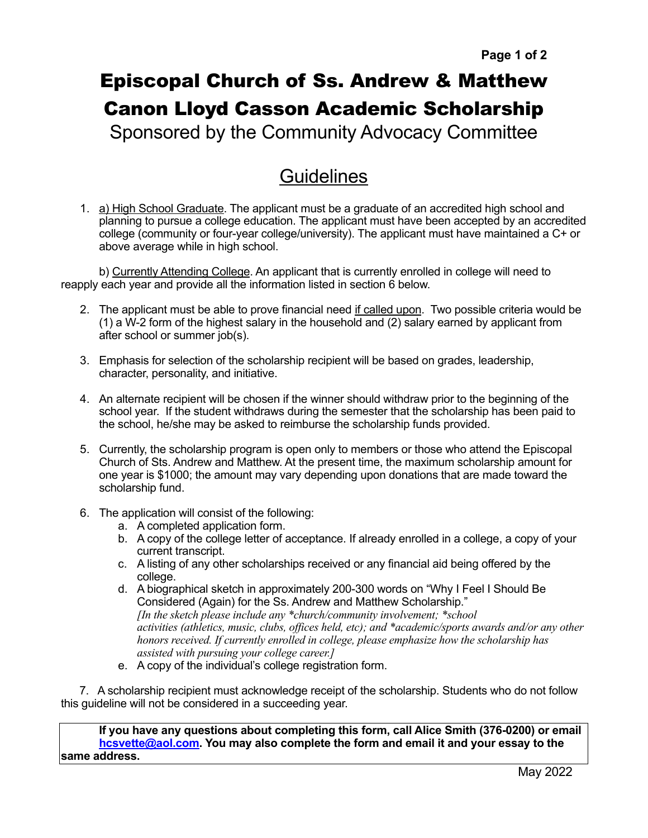## Episcopal Church of Ss. Andrew & Matthew Canon Lloyd Casson Academic Scholarship

Sponsored by the Community Advocacy Committee

## **Guidelines**

1. a) High School Graduate. The applicant must be a graduate of an accredited high school and planning to pursue a college education. The applicant must have been accepted by an accredited college (community or four-year college/university). The applicant must have maintained a C+ or above average while in high school.

b) Currently Attending College. An applicant that is currently enrolled in college will need to reapply each year and provide all the information listed in section 6 below.

- 2. The applicant must be able to prove financial need if called upon. Two possible criteria would be (1) a W-2 form of the highest salary in the household and (2) salary earned by applicant from after school or summer job(s).
- 3. Emphasis for selection of the scholarship recipient will be based on grades, leadership, character, personality, and initiative.
- 4. An alternate recipient will be chosen if the winner should withdraw prior to the beginning of the school year. If the student withdraws during the semester that the scholarship has been paid to the school, he/she may be asked to reimburse the scholarship funds provided.
- 5. Currently, the scholarship program is open only to members or those who attend the Episcopal Church of Sts. Andrew and Matthew. At the present time, the maximum scholarship amount for one year is \$1000; the amount may vary depending upon donations that are made toward the scholarship fund.
- 6. The application will consist of the following:
	- a. A completed application form.
	- b. A copy of the college letter of acceptance. If already enrolled in a college, a copy of your current transcript.
	- c. A listing of any other scholarships received or any financial aid being offered by the college.
	- d. A biographical sketch in approximately 200-300 words on "Why I Feel I Should Be Considered (Again) for the Ss. Andrew and Matthew Scholarship." *[In the sketch please include any \*church/community involvement; \*school activities (athletics, music, clubs, offices held, etc); and \*academic/sports awards and/or any other honors received. If currently enrolled in college, please emphasize how the scholarship has assisted with pursuing your college career.]*
	- e. A copy of the individual's college registration form.

 7. A scholarship recipient must acknowledge receipt of the scholarship. Students who do not follow this guideline will not be considered in a succeeding year.

**If you have any questions about completing this form, call Alice Smith (376-0200) or email [hcsvette@aol.com](mailto:hcsvette@aol.com). You may also complete the form and email it and your essay to the same address.**